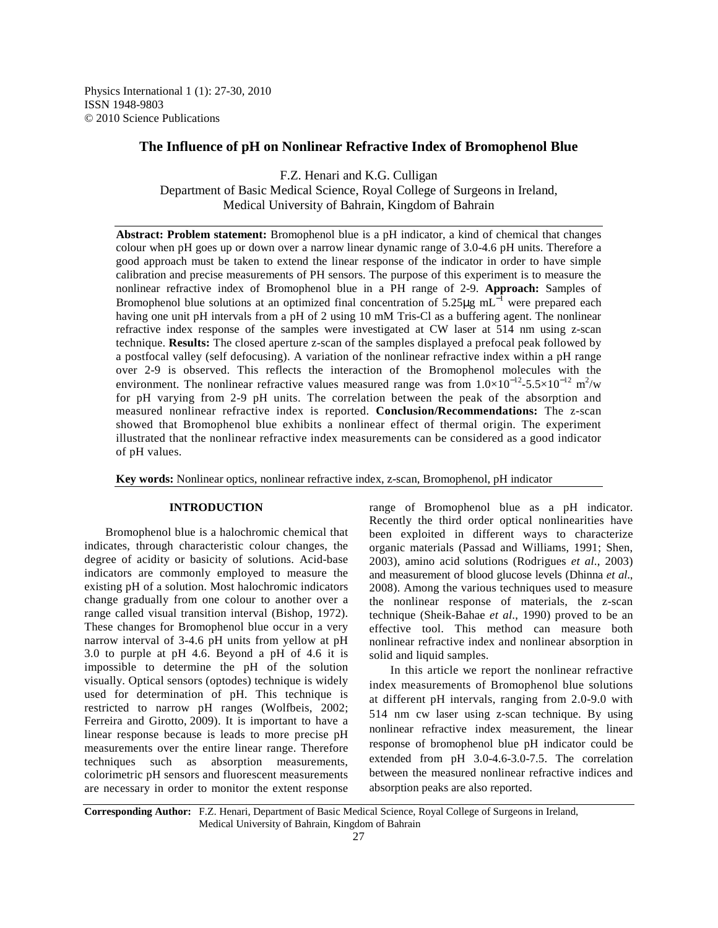Physics International 1 (1): 27-30, 2010 ISSN 1948-9803 © 2010 Science Publications

# **The Influence of pH on Nonlinear Refractive Index of Bromophenol Blue**

F.Z. Henari and K.G. Culligan Department of Basic Medical Science, Royal College of Surgeons in Ireland, Medical University of Bahrain, Kingdom of Bahrain

**Abstract: Problem statement:** Bromophenol blue is a pH indicator, a kind of chemical that changes colour when pH goes up or down over a narrow linear dynamic range of 3.0-4.6 pH units. Therefore a good approach must be taken to extend the linear response of the indicator in order to have simple calibration and precise measurements of PH sensors. The purpose of this experiment is to measure the nonlinear refractive index of Bromophenol blue in a PH range of 2-9. **Approach:** Samples of Bromophenol blue solutions at an optimized final concentration of 5.25 $\mu$ g mL<sup>-1</sup> were prepared each having one unit pH intervals from a pH of 2 using 10 mM Tris-Cl as a buffering agent. The nonlinear refractive index response of the samples were investigated at CW laser at 514 nm using z-scan technique. **Results:** The closed aperture z-scan of the samples displayed a prefocal peak followed by a postfocal valley (self defocusing). A variation of the nonlinear refractive index within a pH range over 2-9 is observed. This reflects the interaction of the Bromophenol molecules with the environment. The nonlinear refractive values measured range was from  $1.0 \times 10^{-12}$ -5.5×10<sup>-12</sup> m<sup>2</sup>/w for pH varying from 2-9 pH units. The correlation between the peak of the absorption and measured nonlinear refractive index is reported. **Conclusion/Recommendations:** The z-scan showed that Bromophenol blue exhibits a nonlinear effect of thermal origin. The experiment illustrated that the nonlinear refractive index measurements can be considered as a good indicator of pH values.

**Key words:** Nonlinear optics, nonlinear refractive index, z-scan, Bromophenol, pH indicator

#### **INTRODUCTION**

 Bromophenol blue is a halochromic chemical that indicates, through characteristic colour changes, the degree of acidity or basicity of solutions. Acid-base indicators are commonly employed to measure the existing pH of a solution. Most halochromic indicators change gradually from one colour to another over a range called visual transition interval (Bishop, 1972). These changes for Bromophenol blue occur in a very narrow interval of 3-4.6 pH units from yellow at pH 3.0 to purple at pH 4.6. Beyond a pH of 4.6 it is impossible to determine the pH of the solution visually. Optical sensors (optodes) technique is widely used for determination of pH. This technique is restricted to narrow pH ranges (Wolfbeis, 2002; Ferreira and Girotto, 2009). It is important to have a linear response because is leads to more precise pH measurements over the entire linear range. Therefore techniques such as absorption measurements, colorimetric pH sensors and fluorescent measurements are necessary in order to monitor the extent response

range of Bromophenol blue as a pH indicator. Recently the third order optical nonlinearities have been exploited in different ways to characterize organic materials (Passad and Williams, 1991; Shen, 2003), amino acid solutions (Rodrigues *et al*., 2003) and measurement of blood glucose levels (Dhinna *et al*., 2008). Among the various techniques used to measure the nonlinear response of materials, the z-scan technique (Sheik-Bahae *et al*., 1990) proved to be an effective tool. This method can measure both nonlinear refractive index and nonlinear absorption in solid and liquid samples.

 In this article we report the nonlinear refractive index measurements of Bromophenol blue solutions at different pH intervals, ranging from 2.0-9.0 with 514 nm cw laser using z-scan technique. By using nonlinear refractive index measurement, the linear response of bromophenol blue pH indicator could be extended from pH 3.0-4.6-3.0-7.5. The correlation between the measured nonlinear refractive indices and absorption peaks are also reported.

**Corresponding Author:** F.Z. Henari, Department of Basic Medical Science, Royal College of Surgeons in Ireland, Medical University of Bahrain, Kingdom of Bahrain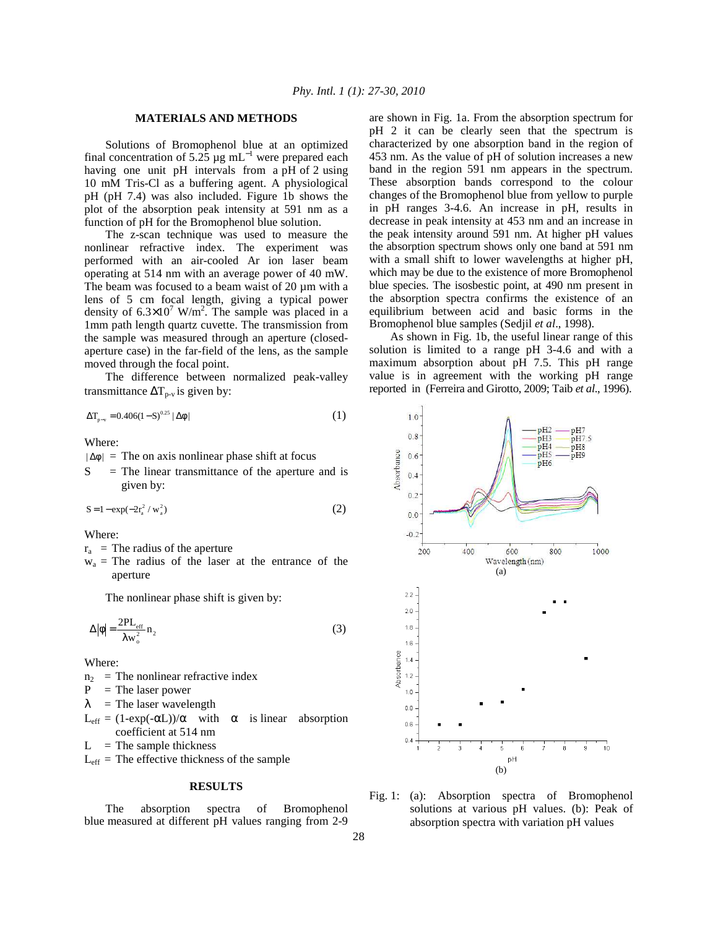## **MATERIALS AND METHODS**

 Solutions of Bromophenol blue at an optimized final concentration of 5.25  $\mu$ g mL<sup>-1</sup> were prepared each having one unit pH intervals from a pH of 2 using 10 mM Tris-Cl as a buffering agent. A physiological pH (pH 7.4) was also included. Figure 1b shows the plot of the absorption peak intensity at 591 nm as a function of pH for the Bromophenol blue solution.

 The z-scan technique was used to measure the nonlinear refractive index. The experiment was performed with an air-cooled Ar ion laser beam operating at 514 nm with an average power of 40 mW. The beam was focused to a beam waist of 20  $\mu$ m with a lens of 5 cm focal length, giving a typical power density of  $6.3 \times 10^7$  W/m<sup>2</sup>. The sample was placed in a 1mm path length quartz cuvette. The transmission from the sample was measured through an aperture (closedaperture case) in the far-field of the lens, as the sample moved through the focal point.

 The difference between normalized peak-valley transmittance  $\Delta T_{p-v}$  is given by:

$$
\Delta T_{p-v} = 0.406(1 - S)^{0.25} |\Delta \phi|
$$
 (1)

Where:

 $|\Delta\phi|$  = The on axis nonlinear phase shift at focus

 $S =$  The linear transmittance of the aperture and is given by:

$$
S = 1 - \exp(-2r_a^2 / w_a^2)
$$
 (2)

Where:

 $r_a$  = The radius of the aperture

 $w_a$  = The radius of the laser at the entrance of the aperture

The nonlinear phase shift is given by:

$$
\Delta |\phi| = \frac{2PL_{eff}}{\lambda w_o^2} n_2 \tag{3}
$$

Where:

 $n_2$  = The nonlinear refractive index<br>P = The laser nower

 $=$  The laser power

 $\lambda$  = The laser wavelength

 $L_{eff} = (1-exp(-αL))/α$  with α is linear absorption coefficient at 514 nm

 $L =$ The sample thickness

 $L_{\text{eff}}$  = The effective thickness of the sample

# **RESULTS**

 The absorption spectra of Bromophenol blue measured at different pH values ranging from 2-9

are shown in Fig. 1a. From the absorption spectrum for pH 2 it can be clearly seen that the spectrum is characterized by one absorption band in the region of 453 nm. As the value of pH of solution increases a new band in the region 591 nm appears in the spectrum. These absorption bands correspond to the colour changes of the Bromophenol blue from yellow to purple in pH ranges 3-4.6. An increase in pH, results in decrease in peak intensity at 453 nm and an increase in the peak intensity around 591 nm. At higher pH values the absorption spectrum shows only one band at 591 nm with a small shift to lower wavelengths at higher pH, which may be due to the existence of more Bromophenol blue species. The isosbestic point, at 490 nm present in the absorption spectra confirms the existence of an equilibrium between acid and basic forms in the Bromophenol blue samples (Sedjil *et al*., 1998).

 As shown in Fig. 1b, the useful linear range of this solution is limited to a range pH 3-4.6 and with a maximum absorption about pH 7.5. This pH range value is in agreement with the working pH range reported in (Ferreira and Girotto, 2009; Taib *et al*., 1996).



Fig. 1: (a): Absorption spectra of Bromophenol solutions at various pH values. (b): Peak of absorption spectra with variation pH values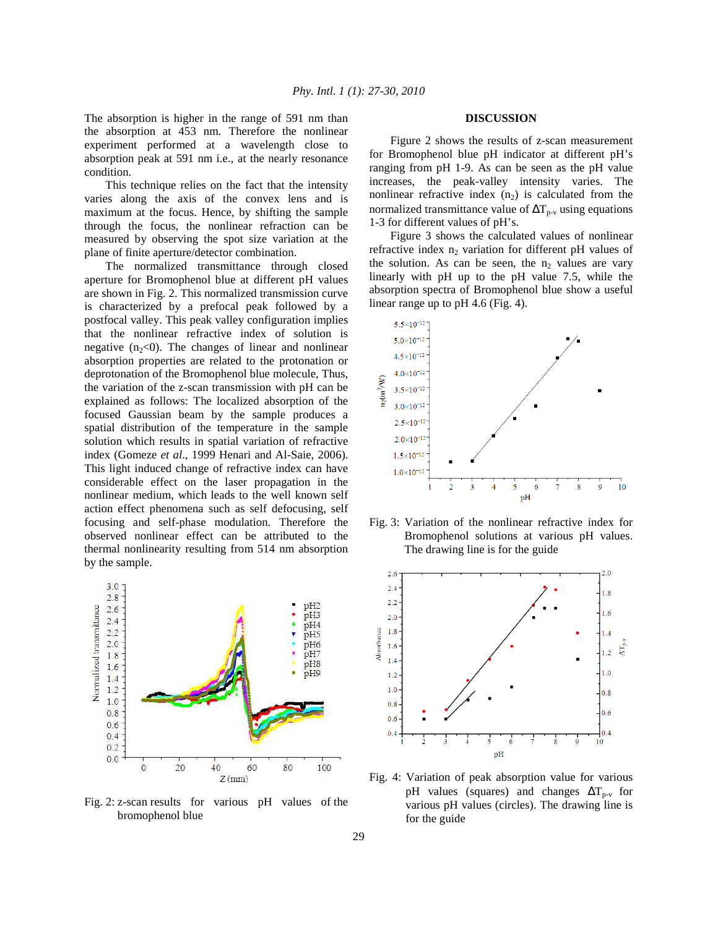The absorption is higher in the range of 591 nm than the absorption at 453 nm. Therefore the nonlinear experiment performed at a wavelength close to absorption peak at 591 nm i.e., at the nearly resonance condition.

 This technique relies on the fact that the intensity varies along the axis of the convex lens and is maximum at the focus. Hence, by shifting the sample through the focus, the nonlinear refraction can be measured by observing the spot size variation at the plane of finite aperture/detector combination.

 The normalized transmittance through closed aperture for Bromophenol blue at different pH values are shown in Fig. 2. This normalized transmission curve is characterized by a prefocal peak followed by a postfocal valley. This peak valley configuration implies that the nonlinear refractive index of solution is negative  $(n_2<0)$ . The changes of linear and nonlinear absorption properties are related to the protonation or deprotonation of the Bromophenol blue molecule, Thus, the variation of the z-scan transmission with pH can be explained as follows: The localized absorption of the focused Gaussian beam by the sample produces a spatial distribution of the temperature in the sample solution which results in spatial variation of refractive index (Gomeze *et al*., 1999 Henari and Al-Saie, 2006). This light induced change of refractive index can have considerable effect on the laser propagation in the nonlinear medium, which leads to the well known self action effect phenomena such as self defocusing, self focusing and self-phase modulation. Therefore the observed nonlinear effect can be attributed to the thermal nonlinearity resulting from 514 nm absorption by the sample.



Fig. 2: z-scan results for various pH values of the bromophenol blue

### **DISCUSSION**

 Figure 2 shows the results of z-scan measurement for Bromophenol blue pH indicator at different pH's ranging from pH 1-9. As can be seen as the pH value increases, the peak-valley intensity varies. The nonlinear refractive index  $(n_2)$  is calculated from the normalized transmittance value of  $\Delta T_{p-v}$  using equations 1-3 for different values of pH's.

 Figure 3 shows the calculated values of nonlinear refractive index  $n_2$  variation for different pH values of the solution. As can be seen, the  $n_2$  values are vary linearly with pH up to the pH value 7.5, while the absorption spectra of Bromophenol blue show a useful linear range up to pH 4.6 (Fig. 4).



Fig. 3: Variation of the nonlinear refractive index for Bromophenol solutions at various pH values. The drawing line is for the guide



Fig. 4: Variation of peak absorption value for various pH values (squares) and changes  $\Delta T_{p-v}$  for various pH values (circles). The drawing line is for the guide